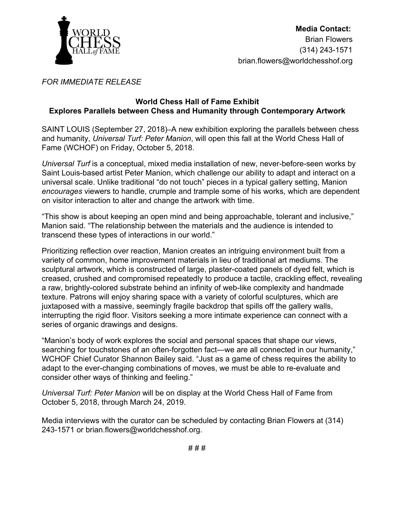

## *FOR IMMEDIATE RELEASE*

## **World Chess Hall of Fame Exhibit Explores Parallels between Chess and Humanity through Contemporary Artwork**

SAINT LOUIS (September 27, 2018)[–](http://wchof.org/)A new exhibition exploring the parallels between chess and humanity, *Universal Turf: Peter Manion*, will open this fall at the World Chess Hall of Fame (WCHOF) on Friday, October 5, 2018.

*Universal Turf* is a conceptual, mixed media installation of new, never-before-seen works by Saint Louis-based artist Peter Manion, which challenge our ability to adapt and interact on a universal scale. Unlike traditional "do not touch" pieces in a typical gallery setting, Manion *encourages* viewers to handle, crumple and trample some of his works, which are dependent on visitor interaction to alter and change the artwork with time.

"This show is about keeping an open mind and being approachable, tolerant and inclusive," Manion said. "The relationship between the materials and the audience is intended to transcend these types of interactions in our world."

Prioritizing reflection over reaction, Manion creates an intriguing environment built from a variety of common, home improvement materials in lieu of traditional art mediums. The sculptural artwork, which is constructed of large, plaster-coated panels of dyed felt, which is creased, crushed and compromised repeatedly to produce a tactile, crackling effect, revealing a raw, brightly-colored substrate behind an infinity of web-like complexity and handmade texture. Patrons will enjoy sharing space with a variety of colorful sculptures, which are juxtaposed with a massive, seemingly fragile backdrop that spills off the gallery walls, interrupting the rigid floor. Visitors seeking a more intimate experience can connect with a series of organic drawings and designs.

"Manion's body of work explores the social and personal spaces that shape our views, searching for touchstones of an often-forgotten fact—we are all connected in our humanity," WCHOF Chief Curator Shannon Bailey said. "Just as a game of chess requires the ability to adapt to the ever-changing combinations of moves, we must be able to re-evaluate and consider other ways of thinking and feeling."

*Universal Turf: Peter Manion* will be on display at the World Chess Hall of Fame from October 5, 2018, through March 24, 2019.

Media interviews with the curator can be scheduled by contacting Brian Flowers at (314) 243-1571 or brian.flowers@worldchesshof.org.